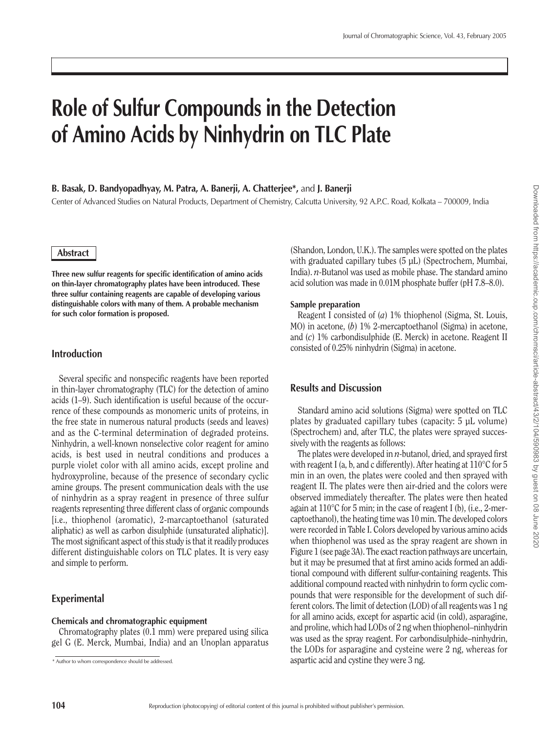# **Role of Sulfur Compounds in the Detection of Amino Acids by Ninhydrin on TLC Plate**

#### **B. Basak, D. Bandyopadhyay, M. Patra, A. Banerji, A. Chatterjee\*,** and **J. Banerji**

Center of Advanced Studies on Natural Products, Department of Chemistry, Calcutta University, 92 A.P.C. Road, Kolkata – 700009, India

#### **Abstract**

**Three new sulfur reagents for specific identification of amino acids on thin-layer chromatography plates have been introduced. These three sulfur containing reagents are capable of developing various distinguishable colors with many of them. A probable mechanism for such color formation is proposed.** 

## **Introduction**

Several specific and nonspecific reagents have been reported in thin-layer chromatography (TLC) for the detection of amino acids (1–9). Such identification is useful because of the occurrence of these compounds as monomeric units of proteins, in the free state in numerous natural products (seeds and leaves) and as the C-terminal determination of degraded proteins. Ninhydrin, a well-known nonselective color reagent for amino acids, is best used in neutral conditions and produces a purple violet color with all amino acids, except proline and hydroxyproline, because of the presence of secondary cyclic amine groups. The present communication deals with the use of ninhydrin as a spray reagent in presence of three sulfur reagents representing three different class of organic compounds [i.e., thiophenol (aromatic), 2-marcaptoethanol (saturated aliphatic) as well as carbon disulphide (unsaturated aliphatic)]. The most significant aspect of this study is that it readily produces different distinguishable colors on TLC plates. It is very easy and simple to perform.

# **Experimental**

#### **Chemicals and chromatographic equipment**

Chromatography plates (0.1 mm) were prepared using silica gel G (E. Merck, Mumbai, India) and an Unoplan apparatus

(Shandon, London, U.K.). The samples were spotted on the plates with graduated capillary tubes (5 µL) (Spectrochem, Mumbai, India). *n*-Butanol was used as mobile phase. The standard amino acid solution was made in 0.01M phosphate buffer (pH 7.8–8.0).

#### **Sample preparation**

Reagent I consisted of (*a*) 1% thiophenol (Sigma, St. Louis, MO) in acetone, (*b*) 1% 2-mercaptoethanol (Sigma) in acetone, and (*c*) 1% carbondisulphide (E. Merck) in acetone. Reagent II consisted of 0.25% ninhydrin (Sigma) in acetone.

## **Results and Discussion**

Standard amino acid solutions (Sigma) were spotted on TLC plates by graduated capillary tubes (capacity: 5 µL volume) (Spectrochem) and, after TLC, the plates were sprayed successively with the reagents as follows:

The plates were developed in *n*-butanol, dried, and sprayed first with reagent I (a, b, and c differently). After heating at 110°C for 5 min in an oven, the plates were cooled and then sprayed with reagent II. The plates were then air-dried and the colors were observed immediately thereafter. The plates were then heated again at 110°C for 5 min; in the case of reagent I (b), (i.e., 2-mercaptoethanol), the heating time was 10 min. The developed colors were recorded in Table I. Colors developed by various amino acids when thiophenol was used as the spray reagent are shown in Figure 1 (see page 3A). The exact reaction pathways are uncertain, but it may be presumed that at first amino acids formed an additional compound with different sulfur-containing reagents. This additional compound reacted with ninhydrin to form cyclic compounds that were responsible for the development of such different colors. The limit of detection (LOD) of all reagents was 1 ng for all amino acids, except for aspartic acid (in cold), asparagine, and proline, which had LODs of 2 ng when thiophenol–ninhydrin was used as the spray reagent. For carbondisulphide–ninhydrin, the LODs for asparagine and cysteine were 2 ng, whereas for aspartic acid and cystine they were 3 ng.

<sup>\*</sup> Author to whom correspondence should be addressed.